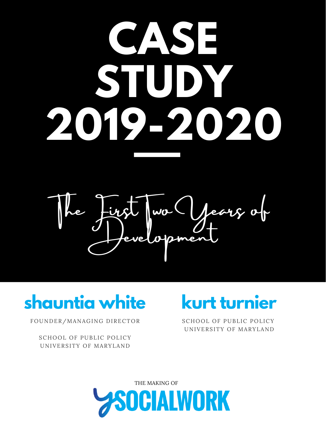## **CASE STUDY 2019-2020**

ears of evel of pm

## **shauntia white**

FOUNDER/MANAGING DIRECTOR

SCHOOL OF PUBLIC POLICY UNIVERSITY OF MARYLAND

## **kurt turnier**

SCHOOL OF PUBLIC POLICY UNIVERSITY OF MARYLAND

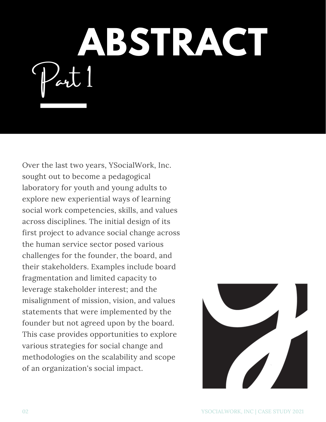**ABSTRACT**  $\sim$ 

Over the last two years, YSocialWork, Inc. sought out to become a pedagogical laboratory for youth and young adults to explore new experiential ways of learning social work competencies, skills, and values across disciplines. The initial design of its first project to advance social change across the human service sector posed various challenges for the founder, the board, and their stakeholders. Examples include board fragmentation and limited capacity to leverage stakeholder interest; and the misalignment of mission, vision, and values statements that were implemented by the founder but not agreed upon by the board. This case provides opportunities to explore various strategies for social change and methodologies on the scalability and scope of an organization's social impact.

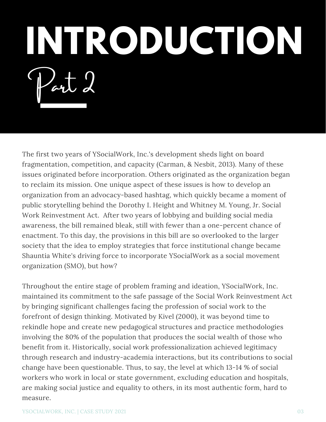## **INTRODUCTION**  $Part d$

The first two years of YSocialWork, Inc.'s development sheds light on board fragmentation, competition, and capacity (Carman, & Nesbit, 2013). Many of these issues originated before incorporation. Others originated as the organization began to reclaim its mission. One unique aspect of these issues is how to develop an organization from an advocacy-based hashtag, which quickly became a moment of public storytelling behind the Dorothy I. Height and Whitney M. Young, Jr. Social Work Reinvestment Act. After two years of lobbying and building social media awareness, the bill remained bleak, still with fewer than a one-percent chance of enactment. To this day, the provisions in this bill are so overlooked to the larger society that the idea to employ strategies that force institutional change became Shauntia White's driving force to incorporate YSocialWork as a social movement organization (SMO), but how?

Throughout the entire stage of problem framing and ideation, YSocialWork, Inc. maintained its commitment to the safe passage of the Social Work Reinvestment Act by bringing significant challenges facing the profession of social work to the forefront of design thinking. Motivated by Kivel (2000), it was beyond time to rekindle hope and create new pedagogical structures and practice methodologies involving the 80% of the population that produces the social wealth of those who benefit from it. Historically, social work professionalization achieved legitimacy through research and industry-academia interactions, but its contributions to social change have been questionable. Thus, to say, the level at which 13-14 % of social workers who work in local or state government, excluding education and hospitals, are making social justice and equality to others, in its most authentic form, hard to measure.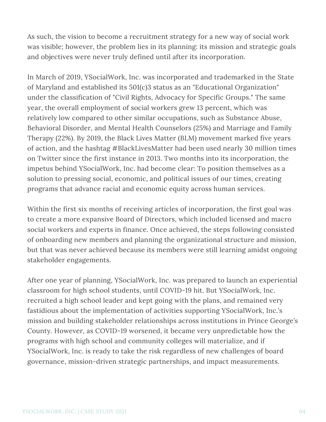As such, the vision to become a recruitment strategy for a new way of social work was visible; however, the problem lies in its planning: its mission and strategic goals and objectives were never truly defined until after its incorporation.

In March of 2019, YSocialWork, Inc. was incorporated and trademarked in the State of Maryland and established its 501(c)3 status as an "Educational Organization" under the classification of "Civil Rights, Advocacy for Specific Groups." The same year, the overall employment of social workers grew 13 percent, which was relatively low compared to other similar occupations, such as Substance Abuse, Behavioral Disorder, and Mental Health Counselors (25%) and Marriage and Family Therapy (22%). By 2019, the Black Lives Matter (BLM) movement marked five years of action, and the hashtag #BlackLivesMatter had been used nearly 30 million times on Twitter since the first instance in 2013. Two months into its incorporation, the impetus behind YSocialWork, Inc. had become clear: To position themselves as a solution to pressing social, economic, and political issues of our times, creating programs that advance racial and economic equity across human services.

Within the first six months of receiving articles of incorporation, the first goal was to create a more expansive Board of Directors, which included licensed and macro social workers and experts in finance. Once achieved, the steps following consisted of onboarding new members and planning the organizational structure and mission, but that was never achieved because its members were still learning amidst ongoing stakeholder engagements.

After one year of planning, YSocialWork, Inc. was prepared to launch an experiential classroom for high school students, until COVID-19 hit. But YSocialWork, Inc. recruited a high school leader and kept going with the plans, and remained very fastidious about the implementation of activities supporting YSocialWork, Inc.'s mission and building stakeholder relationships across institutions in Prince George's County. However, as COVID-19 worsened, it became very unpredictable how the programs with high school and community colleges will materialize, and if YSocialWork, Inc. is ready to take the risk regardless of new challenges of board governance, mission-driven strategic partnerships, and impact measurements.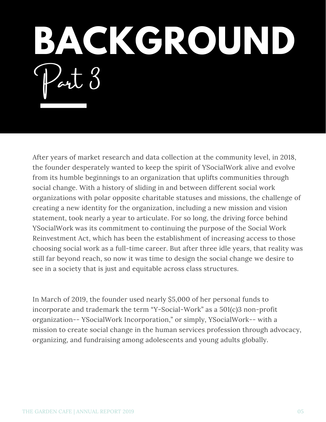**BACKGROUND**  $PartO$ 

After years of market research and data collection at the community level, in 2018, the founder desperately wanted to keep the spirit of YSocialWork alive and evolve from its humble beginnings to an organization that uplifts communities through social change. With a history of sliding in and between different social work organizations with polar opposite charitable statuses and missions, the challenge of creating a new identity for the organization, including a new mission and vision statement, took nearly a year to articulate. For so long, the driving force behind YSocialWork was its commitment to continuing the purpose of the Social Work Reinvestment Act, which has been the establishment of increasing access to those choosing social work as a full-time career. But after three idle years, that reality was still far beyond reach, so now it was time to design the social change we desire to see in a society that is just and equitable across class structures.

In March of 2019, the founder used nearly \$5,000 of her personal funds to incorporate and trademark the term "Y-Social-Work" as a 501(c)3 non-profit organization-- YSocialWork Incorporation," or simply, YSocialWork-- with a mission to create social change in the human services profession through advocacy, organizing, and fundraising among adolescents and young adults globally.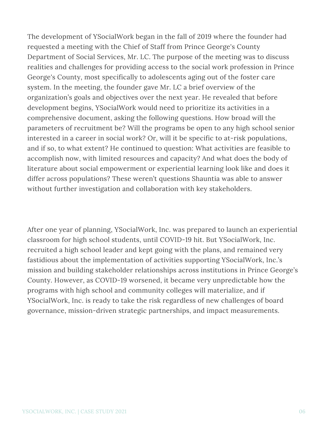The development of YSocialWork began in the fall of 2019 where the founder had requested a meeting with the Chief of Staff from Prince George's County Department of Social Services, Mr. LC. The purpose of the meeting was to discuss realities and challenges for providing access to the social work profession in Prince George's County, most specifically to adolescents aging out of the foster care system. In the meeting, the founder gave Mr. LC a brief overview of the organization's goals and objectives over the next year. He revealed that before development begins, YSocialWork would need to prioritize its activities in a comprehensive document, asking the following questions. How broad will the parameters of recruitment be? Will the programs be open to any high school senior interested in a career in social work? Or, will it be specific to at-risk populations, and if so, to what extent? He continued to question: What activities are feasible to accomplish now, with limited resources and capacity? And what does the body of literature about social empowerment or experiential learning look like and does it differ across populations? These weren't questions Shauntia was able to answer without further investigation and collaboration with key stakeholders.

After one year of planning, YSocialWork, Inc. was prepared to launch an experiential classroom for high school students, until COVID-19 hit. But YSocialWork, Inc. recruited a high school leader and kept going with the plans, and remained very fastidious about the implementation of activities supporting YSocialWork, Inc.'s mission and building stakeholder relationships across institutions in Prince George's County. However, as COVID-19 worsened, it became very unpredictable how the programs with high school and community colleges will materialize, and if YSocialWork, Inc. is ready to take the risk regardless of new challenges of board governance, mission-driven strategic partnerships, and impact measurements.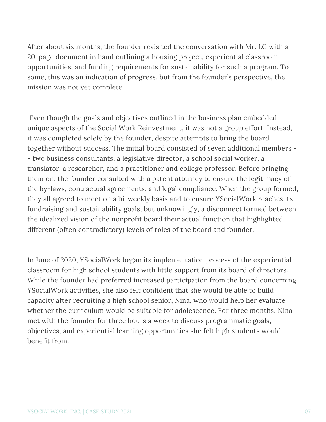After about six months, the founder revisited the conversation with Mr. LC with a 20-page document in hand outlining a housing project, experiential classroom opportunities, and funding requirements for sustainability for such a program. To some, this was an indication of progress, but from the founder's perspective, the mission was not yet complete.

Even though the goals and objectives outlined in the business plan embedded unique aspects of the Social Work Reinvestment, it was not a group effort. Instead, it was completed solely by the founder, despite attempts to bring the board together without success. The initial board consisted of seven additional members - - two business consultants, a legislative director, a school social worker, a translator, a researcher, and a practitioner and college professor. Before bringing them on, the founder consulted with a patent attorney to ensure the legitimacy of the by-laws, contractual agreements, and legal compliance. When the group formed, they all agreed to meet on a bi-weekly basis and to ensure YSocialWork reaches its fundraising and sustainability goals, but unknowingly, a disconnect formed between the idealized vision of the nonprofit board their actual function that highlighted different (often contradictory) levels of roles of the board and founder.

In June of 2020, YSocialWork began its implementation process of the experiential classroom for high school students with little support from its board of directors. While the founder had preferred increased participation from the board concerning YSocialWork activities, she also felt confident that she would be able to build capacity after recruiting a high school senior, Nina, who would help her evaluate whether the curriculum would be suitable for adolescence. For three months, Nina met with the founder for three hours a week to discuss programmatic goals, objectives, and experiential learning opportunities she felt high students would benefit from.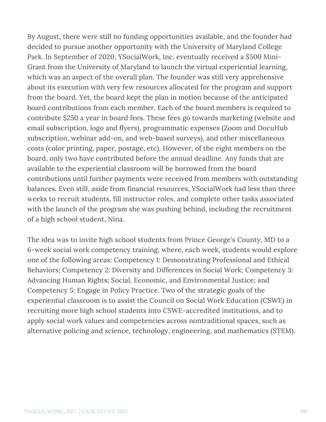By August, there were still no funding opportunities available, and the founder had decided to pursue another opportunity with the University of Maryland College Park. In September of 2020, YSocialWork, Inc. eventually received a \$500 Mini-Grant from the University of Maryland to launch the virtual experiential learning, which was an aspect of the overall plan. The founder was still very apprehensive about its execution with very few resources allocated for the program and support from the board. Yet, the board kept the plan in motion because of the anticipated board contributions from each member. Each of the board members is required to contribute \$250 a year in board fees. These fees go towards marketing (website and email subscription, logo and flyers), programmatic expenses (Zoom and DocuHub subscription, webinar add-on, and web-based surveys), and other miscellaneous costs (color printing, paper, postage, etc). However, of the eight members on the board, only two have contributed before the annual deadline. Any funds that are available to the experiential classroom will be borrowed from the board contributions until further payments were received from members with outstanding balances. Even still, aside from financial resources, YSocialWork had less than three weeks to recruit students, fill instructor roles, and complete other tasks associated with the launch of the program she was pushing behind, including the recruitment of a high school student, Nina.

The idea was to invite high school students from Prince George's County, MD to a 6-week social work competency training, where, each week, students would explore one of the following areas: Competency 1: Demonstrating Professional and Ethical Behaviors; Competency 2: Diversity and Differences in Social Work; Competency 3: Advancing Human Rights; Social, Economic, and Environmental Justice; and Competency 5: Engage in Policy Practice. Two of the strategic goals of the experiential classroom is to assist the Council on Social Work Education (CSWE) in recruiting more high school students into CSWE-accredited institutions, and to apply social work values and competencies across nontraditional spaces, such as alternative policing and science, technology, engineering, and mathematics (STEM).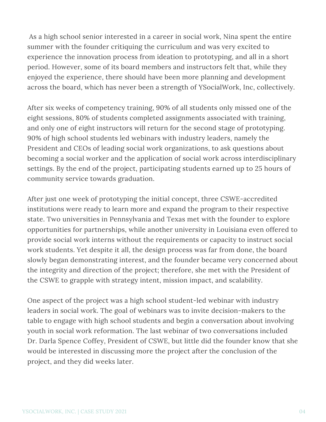As a high school senior interested in a career in social work, Nina spent the entire summer with the founder critiquing the curriculum and was very excited to experience the innovation process from ideation to prototyping, and all in a short period. However, some of its board members and instructors felt that, while they enjoyed the experience, there should have been more planning and development across the board, which has never been a strength of YSocialWork, Inc, collectively.

After six weeks of competency training, 90% of all students only missed one of the eight sessions, 80% of students completed assignments associated with training, and only one of eight instructors will return for the second stage of prototyping. 90% of high school students led webinars with industry leaders, namely the President and CEOs of leading social work organizations, to ask questions about becoming a social worker and the application of social work across interdisciplinary settings. By the end of the project, participating students earned up to 25 hours of community service towards graduation.

After just one week of prototyping the initial concept, three CSWE-accredited institutions were ready to learn more and expand the program to their respective state. Two universities in Pennsylvania and Texas met with the founder to explore opportunities for partnerships, while another university in Louisiana even offered to provide social work interns without the requirements or capacity to instruct social work students. Yet despite it all, the design process was far from done, the board slowly began demonstrating interest, and the founder became very concerned about the integrity and direction of the project; therefore, she met with the President of the CSWE to grapple with strategy intent, mission impact, and scalability.

One aspect of the project was a high school student-led webinar with industry leaders in social work. The goal of webinars was to invite decision-makers to the table to engage with high school students and begin a conversation about involving youth in social work reformation. The last webinar of two conversations included Dr. Darla Spence Coffey, President of CSWE, but little did the founder know that she would be interested in discussing more the project after the conclusion of the project, and they did weeks later.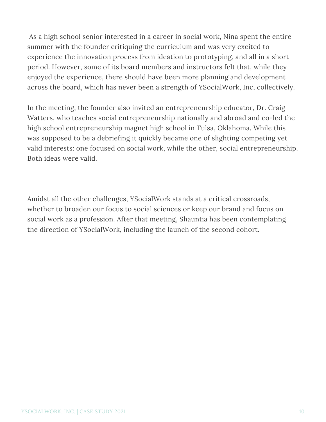As a high school senior interested in a career in social work, Nina spent the entire summer with the founder critiquing the curriculum and was very excited to experience the innovation process from ideation to prototyping, and all in a short period. However, some of its board members and instructors felt that, while they enjoyed the experience, there should have been more planning and development across the board, which has never been a strength of YSocialWork, Inc, collectively.

In the meeting, the founder also invited an entrepreneurship educator, Dr. Craig Watters, who teaches social entrepreneurship nationally and abroad and co-led the high school entrepreneurship magnet high school in Tulsa, Oklahoma. While this was supposed to be a debriefing it quickly became one of slighting competing yet valid interests: one focused on social work, while the other, social entrepreneurship. Both ideas were valid.

Amidst all the other challenges, YSocialWork stands at a critical crossroads, whether to broaden our focus to social sciences or keep our brand and focus on social work as a profession. After that meeting, Shauntia has been contemplating the direction of YSocialWork, including the launch of the second cohort.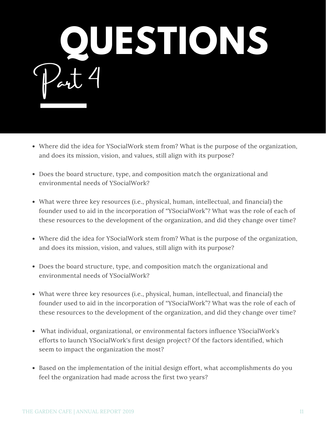

- Where did the idea for YSocialWork stem from? What is the purpose of the organization, and does its mission, vision, and values, still align with its purpose?
- Does the board structure, type, and composition match the organizational and environmental needs of YSocialWork?
- What were three key resources (i.e., physical, human, intellectual, and financial) the founder used to aid in the incorporation of "YSocialWork"? What was the role of each of these resources to the development of the organization, and did they change over time?
- Where did the idea for YSocialWork stem from? What is the purpose of the organization, and does its mission, vision, and values, still align with its purpose?
- Does the board structure, type, and composition match the organizational and environmental needs of YSocialWork?
- What were three key resources (i.e., physical, human, intellectual, and financial) the founder used to aid in the incorporation of "YSocialWork"? What was the role of each of these resources to the development of the organization, and did they change over time?
- What individual, organizational, or environmental factors influence YSocialWork's efforts to launch YSocialWork's first design project? Of the factors identified, which seem to impact the organization the most?
- Based on the implementation of the initial design effort, what accomplishments do you feel the organization had made across the first two years?